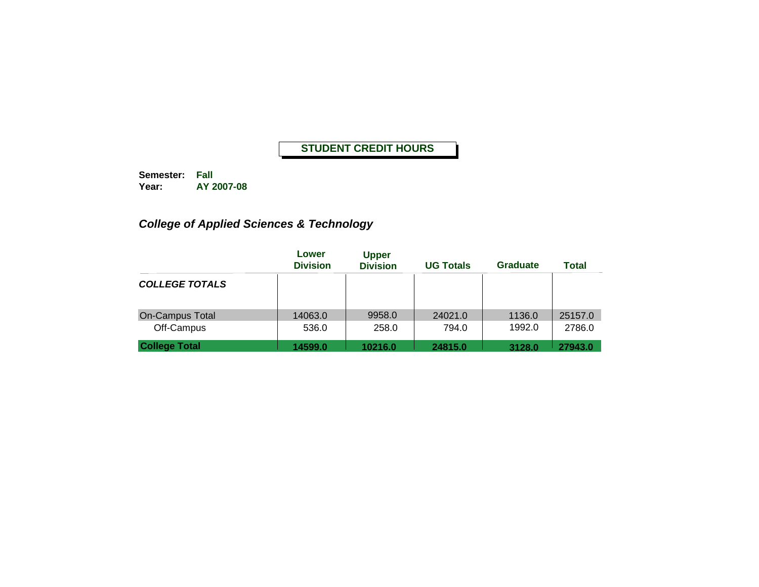**Semester: Fall Year: AY 2007-08**

## *College of Applied Sciences & Technology*

|                       | Lower<br><b>Division</b> | <b>Upper</b><br><b>Division</b> | <b>UG Totals</b> | <b>Graduate</b> | <b>Total</b> |
|-----------------------|--------------------------|---------------------------------|------------------|-----------------|--------------|
| <b>COLLEGE TOTALS</b> |                          |                                 |                  |                 |              |
| On-Campus Total       | 14063.0                  | 9958.0                          | 24021.0          | 1136.0          | 25157.0      |
| Off-Campus            | 536.0                    | 258.0                           | 794.0            | 1992.0          | 2786.0       |
| <b>College Total</b>  | 14599.0                  | 10216.0                         | 24815.0          | 3128.0          | 27943.0      |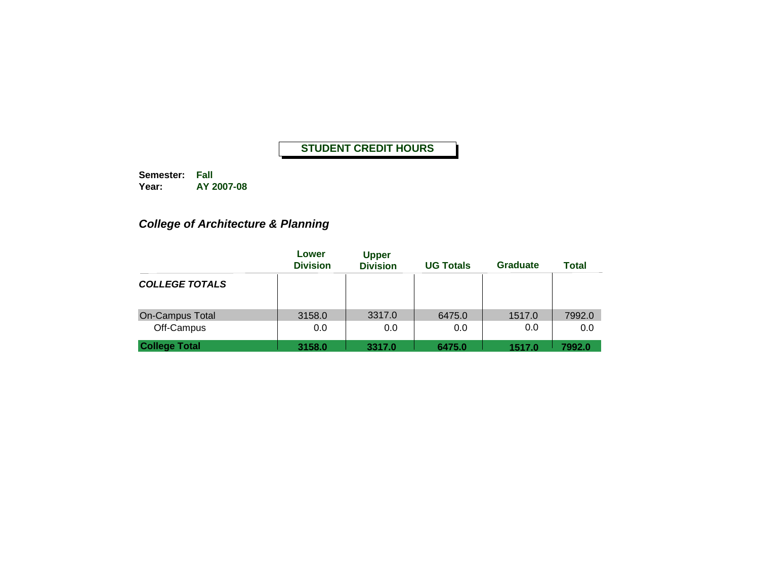**Semester: Fall Year: AY 2007-08**

*College of Architecture & Planning*

|                        | Lower<br><b>Division</b> | <b>Upper</b><br><b>Division</b> | <b>UG Totals</b> | <b>Graduate</b> | <b>Total</b> |
|------------------------|--------------------------|---------------------------------|------------------|-----------------|--------------|
| <b>COLLEGE TOTALS</b>  |                          |                                 |                  |                 |              |
| <b>On-Campus Total</b> | 3158.0                   | 3317.0                          | 6475.0           | 1517.0          | 7992.0       |
| Off-Campus             | 0.0                      | 0.0                             | 0.0              | 0.0             | 0.0          |
| <b>College Total</b>   | 3158.0                   | 3317.0                          | 6475.0           | 1517.0          | 7992.0       |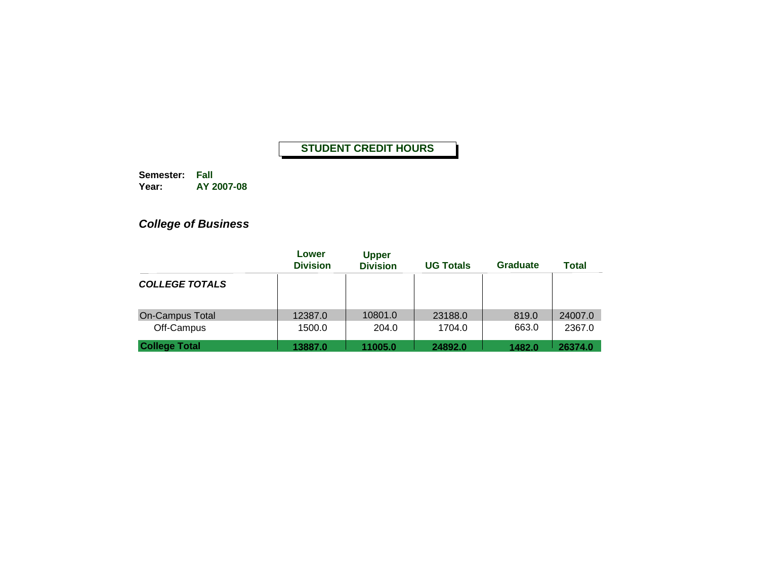**Semester: Fall Year: AY 2007-08**

# *College of Business*

|                        | Lower<br><b>Division</b> | <b>Upper</b><br><b>Division</b> | <b>UG Totals</b> | <b>Graduate</b> | <b>Total</b> |
|------------------------|--------------------------|---------------------------------|------------------|-----------------|--------------|
| <b>COLLEGE TOTALS</b>  |                          |                                 |                  |                 |              |
| <b>On-Campus Total</b> | 12387.0                  | 10801.0                         | 23188.0          | 819.0           | 24007.0      |
| Off-Campus             | 1500.0                   | 204.0                           | 1704.0           | 663.0           | 2367.0       |
| <b>College Total</b>   | 13887.0                  | 11005.0                         | 24892.0          | 1482.0          | 26374.0      |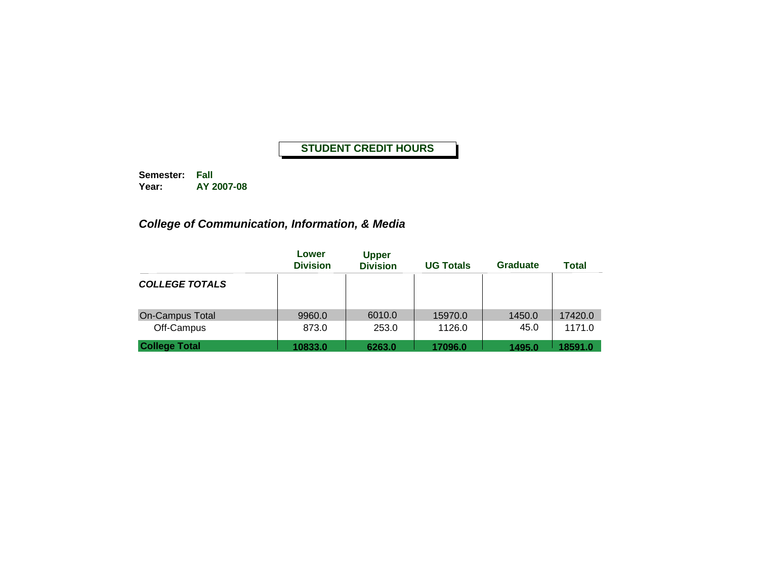**Semester: Fall Year: AY 2007-08**

## *College of Communication, Information, & Media*

|                        | Lower<br><b>Division</b> | <b>Upper</b><br><b>Division</b> | <b>UG Totals</b> | <b>Graduate</b> | <b>Total</b> |
|------------------------|--------------------------|---------------------------------|------------------|-----------------|--------------|
| <b>COLLEGE TOTALS</b>  |                          |                                 |                  |                 |              |
| <b>On-Campus Total</b> | 9960.0                   | 6010.0                          | 15970.0          | 1450.0          | 17420.0      |
| Off-Campus             | 873.0                    | 253.0                           | 1126.0           | 45.0            | 1171.0       |
| <b>College Total</b>   | 10833.0                  | 6263.0                          | 17096.0          | 1495.0          | 18591.0      |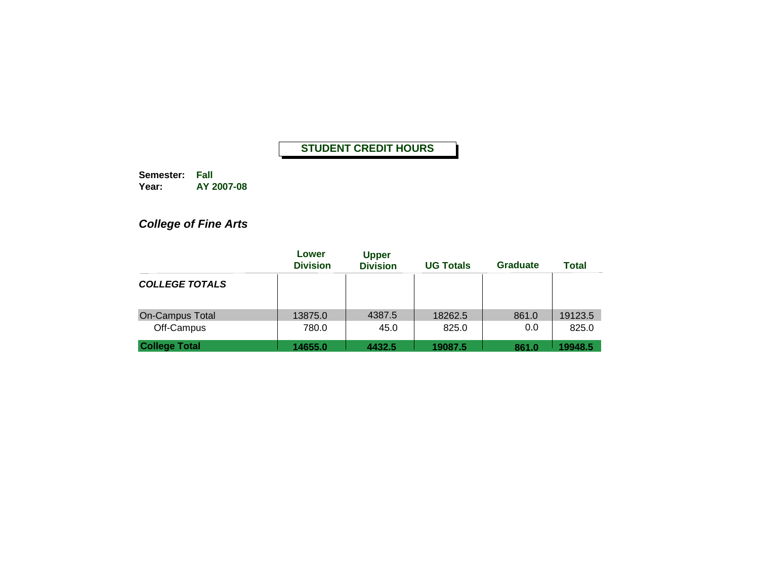**Semester: Fall Year: AY 2007-08**

# *College of Fine Arts*

|                        | Lower<br><b>Division</b> | <b>Upper</b><br><b>Division</b> | <b>UG Totals</b> | <b>Graduate</b> | <b>Total</b> |
|------------------------|--------------------------|---------------------------------|------------------|-----------------|--------------|
| <b>COLLEGE TOTALS</b>  |                          |                                 |                  |                 |              |
| <b>On-Campus Total</b> | 13875.0                  | 4387.5                          | 18262.5          | 861.0           | 19123.5      |
| Off-Campus             | 780.0                    | 45.0                            | 825.0            | 0.0             | 825.0        |
| <b>College Total</b>   | 14655.0                  | 4432.5                          | 19087.5          | 861.0           | 19948.5      |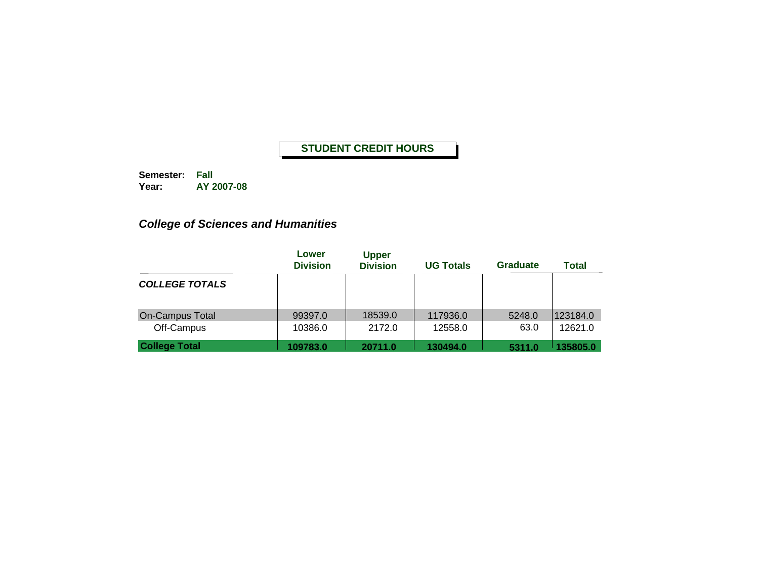**Semester: Fall Year: AY 2007-08**

## *College of Sciences and Humanities*

|                       | Lower<br><b>Division</b> | <b>Upper</b><br><b>Division</b> | <b>UG Totals</b> | <b>Graduate</b> | <b>Total</b> |
|-----------------------|--------------------------|---------------------------------|------------------|-----------------|--------------|
| <b>COLLEGE TOTALS</b> |                          |                                 |                  |                 |              |
| On-Campus Total       | 99397.0                  | 18539.0                         | 117936.0         | 5248.0          | 123184.0     |
| Off-Campus            | 10386.0                  | 2172.0                          | 12558.0          | 63.0            | 12621.0      |
| <b>College Total</b>  | 109783.0                 | 20711.0                         | 130494.0         | 5311.0          | 135805.0     |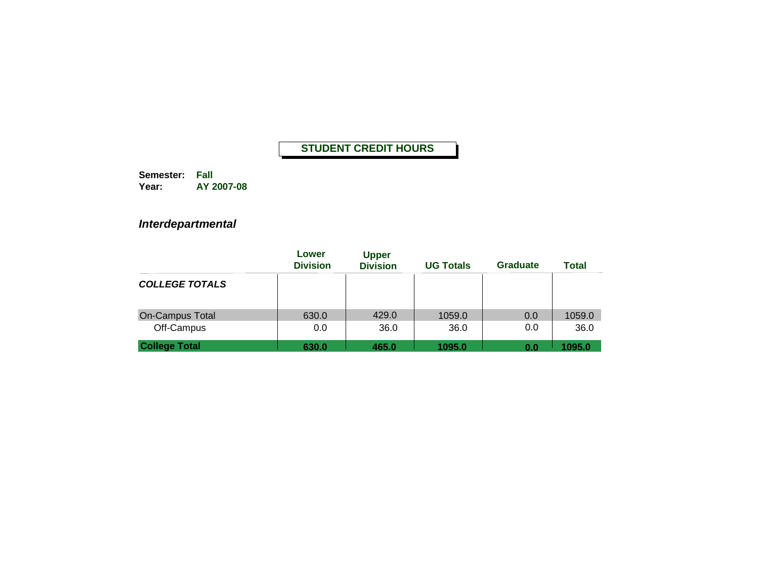**Semester: Fall Year: AY 2007-08**

### *Interdepartmental*

|                        | Lower<br><b>Division</b> | <b>Upper</b><br><b>Division</b> | <b>UG Totals</b> | <b>Graduate</b> | <b>Total</b> |
|------------------------|--------------------------|---------------------------------|------------------|-----------------|--------------|
| <b>COLLEGE TOTALS</b>  |                          |                                 |                  |                 |              |
| <b>On-Campus Total</b> | 630.0                    | 429.0                           | 1059.0           | 0.0             | 1059.0       |
| Off-Campus             | 0.0                      | 36.0                            | 36.0             | 0.0             | 36.0         |
| <b>College Total</b>   | 630.0                    | 465.0                           | 1095.0           | 0.0             | 1095.0       |